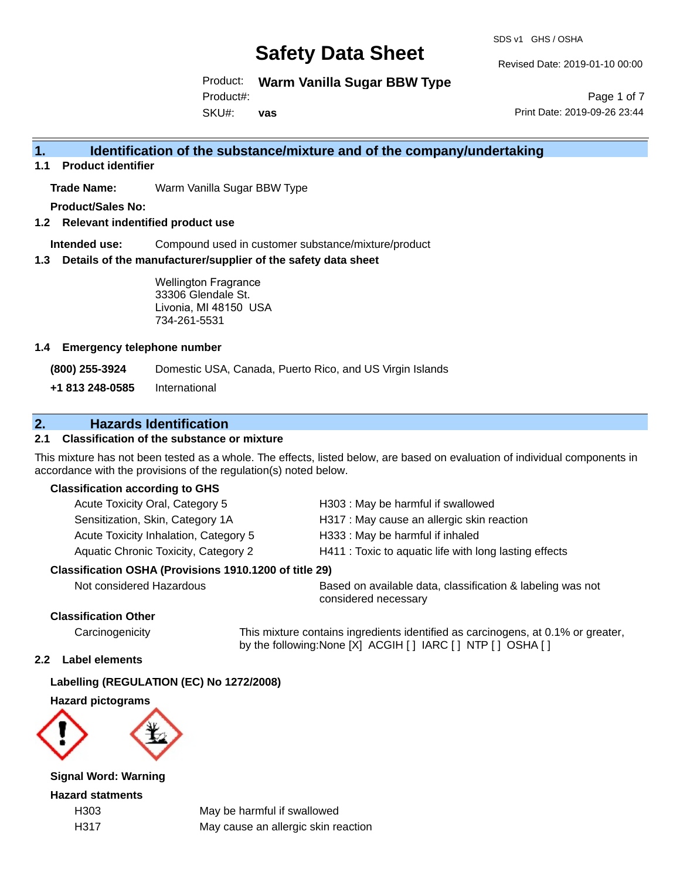SDS v1 GHS / OSHA

Revised Date: 2019-01-10 00:00

Product: **Warm Vanilla Sugar BBW Type**

Product#:

SKU#: **vas**

Page 1 of 7 Print Date: 2019-09-26 23:44

## **1. Identification of the substance/mixture and of the company/undertaking**

**1.1 Product identifier**

**Trade Name:** Warm Vanilla Sugar BBW Type

**Product/Sales No:**

**1.2 Relevant indentified product use**

**Intended use:** Compound used in customer substance/mixture/product

**1.3 Details of the manufacturer/supplier of the safety data sheet**

Wellington Fragrance 33306 Glendale St. Livonia, MI 48150 USA 734-261-5531

#### **1.4 Emergency telephone number**

**(800) 255-3924** Domestic USA, Canada, Puerto Rico, and US Virgin Islands

**+1 813 248-0585** International

## **2. Hazards Identification**

### **2.1 Classification of the substance or mixture**

This mixture has not been tested as a whole. The effects, listed below, are based on evaluation of individual components in accordance with the provisions of the regulation(s) noted below.

#### **Classification according to GHS**

| Acute Toxicity Oral, Category 5       | H303: May be harmful if swallowed                      |
|---------------------------------------|--------------------------------------------------------|
| Sensitization, Skin, Category 1A      | H317 : May cause an allergic skin reaction             |
| Acute Toxicity Inhalation, Category 5 | H333: May be harmful if inhaled                        |
| Aquatic Chronic Toxicity, Category 2  | H411 : Toxic to aquatic life with long lasting effects |
|                                       |                                                        |

#### **Classification OSHA (Provisions 1910.1200 of title 29)**

Not considered Hazardous Based on available data, classification & labeling was not considered necessary

### **Classification Other**

Carcinogenicity This mixture contains ingredients identified as carcinogens, at 0.1% or greater, by the following:None [X] ACGIH [ ] IARC [ ] NTP [ ] OSHA [ ]

#### **2.2 Label elements**

#### **Labelling (REGULATION (EC) No 1272/2008)**

**Hazard pictograms**



**Signal Word: Warning**

**Hazard statments**

H303 May be harmful if swallowed H317 May cause an allergic skin reaction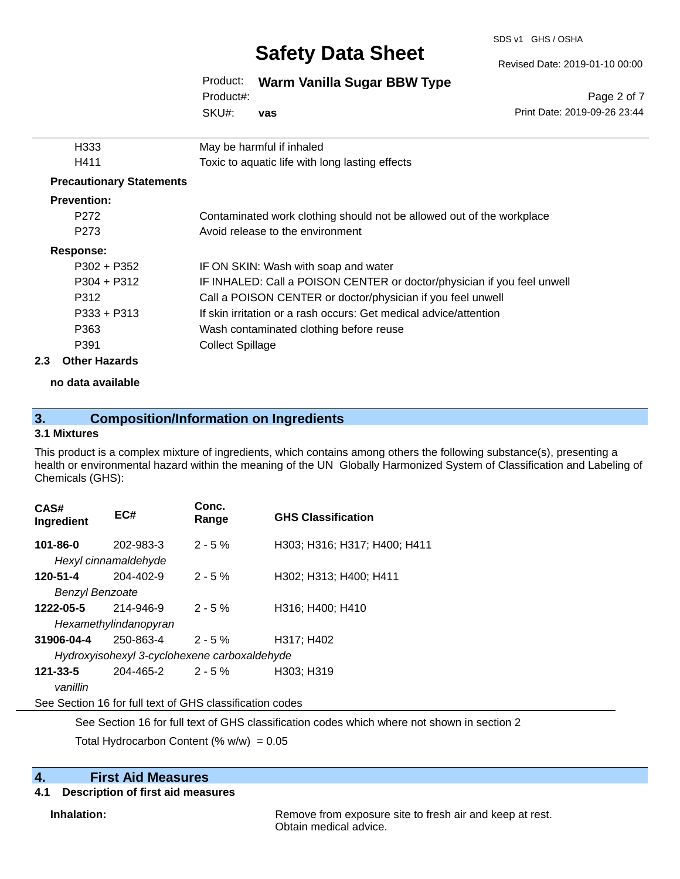SDS v1 GHS / OSHA

Revised Date: 2019-01-10 00:00

Print Date: 2019-09-26 23:44

Page 2 of 7

### Product: **Warm Vanilla Sugar BBW Type**

SKU#: Product#: **vas**

|     | H333                            | May be harmful if inhaled                                               |
|-----|---------------------------------|-------------------------------------------------------------------------|
|     | H411                            | Toxic to aquatic life with long lasting effects                         |
|     | <b>Precautionary Statements</b> |                                                                         |
|     | <b>Prevention:</b>              |                                                                         |
|     | P <sub>272</sub>                | Contaminated work clothing should not be allowed out of the workplace   |
|     | P <sub>273</sub>                | Avoid release to the environment                                        |
|     | Response:                       |                                                                         |
|     | $P302 + P352$                   | IF ON SKIN: Wash with soap and water                                    |
|     | $P304 + P312$                   | IF INHALED: Call a POISON CENTER or doctor/physician if you feel unwell |
|     | P312                            | Call a POISON CENTER or doctor/physician if you feel unwell             |
|     | $P333 + P313$                   | If skin irritation or a rash occurs: Get medical advice/attention       |
|     | P363                            | Wash contaminated clothing before reuse                                 |
|     | P391                            | <b>Collect Spillage</b>                                                 |
| 2.3 | <b>Other Hazards</b>            |                                                                         |

**no data available**

## **3. Composition/Information on Ingredients**

### **3.1 Mixtures**

This product is a complex mixture of ingredients, which contains among others the following substance(s), presenting a health or environmental hazard within the meaning of the UN Globally Harmonized System of Classification and Labeling of Chemicals (GHS):

| CAS#<br>Ingredient                 | EC#                                                                                                                                                     | Conc.<br>Range | <b>GHS Classification</b>    |
|------------------------------------|---------------------------------------------------------------------------------------------------------------------------------------------------------|----------------|------------------------------|
| 101-86-0                           | 202-983-3<br>Hexyl cinnamaldehyde                                                                                                                       | $2 - 5\%$      | H303; H316; H317; H400; H411 |
| 120-51-4<br><b>Benzyl Benzoate</b> | 204-402-9                                                                                                                                               | $2 - 5%$       | H302; H313; H400; H411       |
| 1222-05-5                          | 214-946-9<br>Hexamethylindanopyran                                                                                                                      | $2 - 5%$       | H316; H400; H410             |
| 31906-04-4                         | 250-863-4<br>Hydroxyisohexyl 3-cyclohexene carboxaldehyde                                                                                               | $2 - 5 \%$     | H317: H402                   |
| $121 - 33 - 5$<br>vanillin         | 204-465-2                                                                                                                                               | 2 - 5 %        | H303; H319                   |
|                                    | $\Omega$ and $\Omega$ and $\Omega$ and $\Omega$ and $\Omega$ and $\Omega$ and $\Omega$ and $\Omega$ and $\Omega$ and $\Omega$ and $\Omega$ and $\Omega$ |                |                              |

See Section 16 for full text of GHS classification codes

See Section 16 for full text of GHS classification codes which where not shown in section 2

Total Hydrocarbon Content (%  $w/w$ ) = 0.05

## **4. First Aid Measures**

### **4.1 Description of first aid measures**

**Inhalation:** Remove from exposure site to fresh air and keep at rest. Obtain medical advice.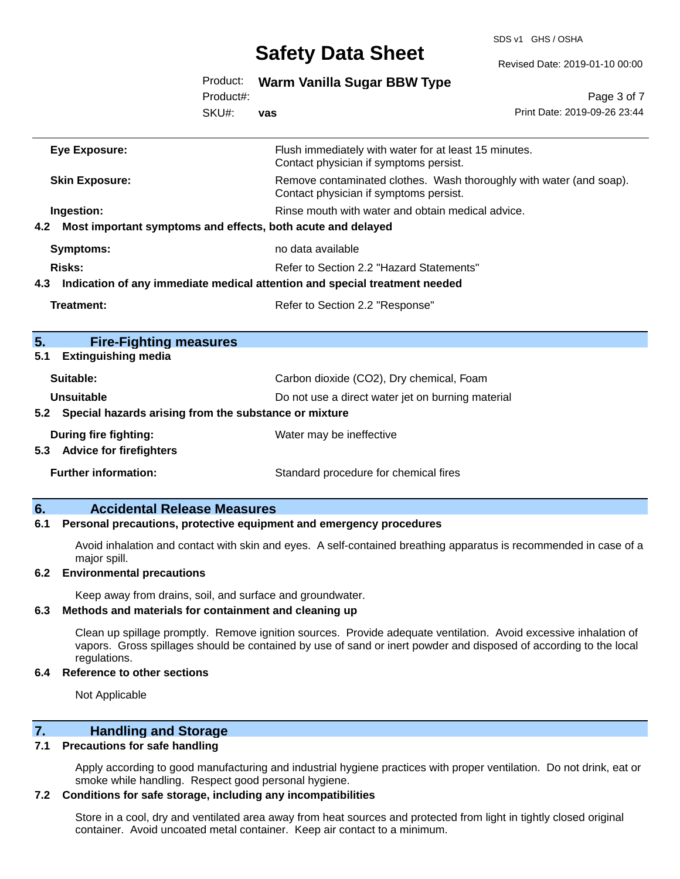SDS v1 GHS / OSHA

Revised Date: 2019-01-10 00:00

| Product: Warm Vanilla Sugar BBW Type |  |  |  |  |  |
|--------------------------------------|--|--|--|--|--|
|--------------------------------------|--|--|--|--|--|

SKU#: Product#:

**vas**

Page 3 of 7 Print Date: 2019-09-26 23:44

| Eye Exposure:                                                                     | Flush immediately with water for at least 15 minutes.<br>Contact physician if symptoms persist.               |
|-----------------------------------------------------------------------------------|---------------------------------------------------------------------------------------------------------------|
| <b>Skin Exposure:</b>                                                             | Remove contaminated clothes. Wash thoroughly with water (and soap).<br>Contact physician if symptoms persist. |
| Ingestion:                                                                        | Rinse mouth with water and obtain medical advice.                                                             |
| 4.2 Most important symptoms and effects, both acute and delayed                   |                                                                                                               |
| <b>Symptoms:</b>                                                                  | no data available                                                                                             |
| Risks:                                                                            | Refer to Section 2.2 "Hazard Statements"                                                                      |
| Indication of any immediate medical attention and special treatment needed<br>4.3 |                                                                                                               |
| Treatment:                                                                        | Refer to Section 2.2 "Response"                                                                               |
|                                                                                   |                                                                                                               |
| 5.<br><b>Fire-Fighting measures</b>                                               |                                                                                                               |
| <b>Extinguishing media</b><br>5.1                                                 |                                                                                                               |
| Suitable:                                                                         | Carbon dioxide (CO2), Dry chemical, Foam                                                                      |
| Unsuitable                                                                        | Do not use a direct water jet on burning material                                                             |
| Special hazards arising from the substance or mixture<br>5.2                      |                                                                                                               |
| <b>During fire fighting:</b>                                                      | Water may be ineffective                                                                                      |
| 5.3 Advice for firefighters                                                       |                                                                                                               |
| <b>Further information:</b>                                                       | Standard procedure for chemical fires                                                                         |
|                                                                                   |                                                                                                               |

## **6. Accidental Release Measures**

#### **6.1 Personal precautions, protective equipment and emergency procedures**

Avoid inhalation and contact with skin and eyes. A self-contained breathing apparatus is recommended in case of a major spill.

#### **6.2 Environmental precautions**

Keep away from drains, soil, and surface and groundwater.

#### **6.3 Methods and materials for containment and cleaning up**

Clean up spillage promptly. Remove ignition sources. Provide adequate ventilation. Avoid excessive inhalation of vapors. Gross spillages should be contained by use of sand or inert powder and disposed of according to the local regulations.

#### **6.4 Reference to other sections**

Not Applicable

#### **7. Handling and Storage**

#### **7.1 Precautions for safe handling**

Apply according to good manufacturing and industrial hygiene practices with proper ventilation. Do not drink, eat or smoke while handling. Respect good personal hygiene.

#### **7.2 Conditions for safe storage, including any incompatibilities**

Store in a cool, dry and ventilated area away from heat sources and protected from light in tightly closed original container. Avoid uncoated metal container. Keep air contact to a minimum.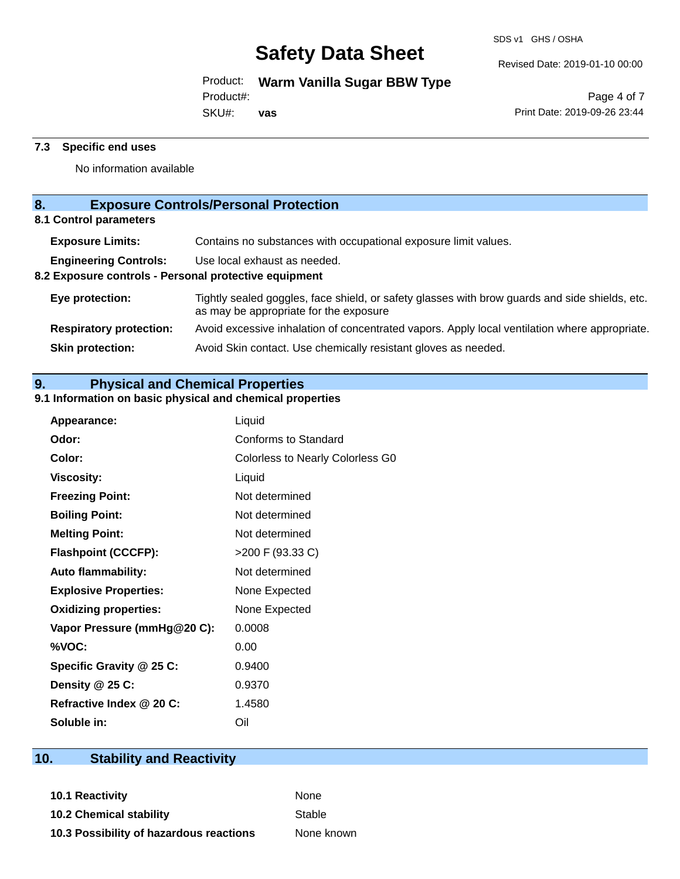Revised Date: 2019-01-10 00:00

Product: **Warm Vanilla Sugar BBW Type**

Product#:

SKU#: **vas**

Page 4 of 7 Print Date: 2019-09-26 23:44

### **7.3 Specific end uses**

No information available

## **8. Exposure Controls/Personal Protection**

**8.1 Control parameters**

| <b>Exposure Limits:</b>                               | Contains no substances with occupational exposure limit values.                                                                          |
|-------------------------------------------------------|------------------------------------------------------------------------------------------------------------------------------------------|
| <b>Engineering Controls:</b>                          | Use local exhaust as needed.                                                                                                             |
| 8.2 Exposure controls - Personal protective equipment |                                                                                                                                          |
| Eye protection:                                       | Tightly sealed goggles, face shield, or safety glasses with brow guards and side shields, etc.<br>as may be appropriate for the exposure |
| <b>Respiratory protection:</b>                        | Avoid excessive inhalation of concentrated vapors. Apply local ventilation where appropriate.                                            |
| <b>Skin protection:</b>                               | Avoid Skin contact. Use chemically resistant gloves as needed.                                                                           |

## **9. Physical and Chemical Properties**

### **9.1 Information on basic physical and chemical properties**

| <b>Appearance:</b>           | Liquid                                  |
|------------------------------|-----------------------------------------|
| Odor:                        | <b>Conforms to Standard</b>             |
| Color:                       | <b>Colorless to Nearly Colorless G0</b> |
| <b>Viscosity:</b>            | Liquid                                  |
| <b>Freezing Point:</b>       | Not determined                          |
| <b>Boiling Point:</b>        | Not determined                          |
| <b>Melting Point:</b>        | Not determined                          |
| <b>Flashpoint (CCCFP):</b>   | >200 F (93.33 C)                        |
| <b>Auto flammability:</b>    | Not determined                          |
| <b>Explosive Properties:</b> | None Expected                           |
| <b>Oxidizing properties:</b> | None Expected                           |
| Vapor Pressure (mmHg@20 C):  | 0.0008                                  |
| %VOC:                        | 0.00                                    |
| Specific Gravity @ 25 C:     | 0.9400                                  |
| Density @ 25 C:              | 0.9370                                  |
| Refractive Index @ 20 C:     | 1.4580                                  |
| Soluble in:                  | Oil                                     |

## **10. Stability and Reactivity**

**10.1 Reactivity** None **10.2 Chemical stability** Stable **10.3 Possibility of hazardous reactions** None known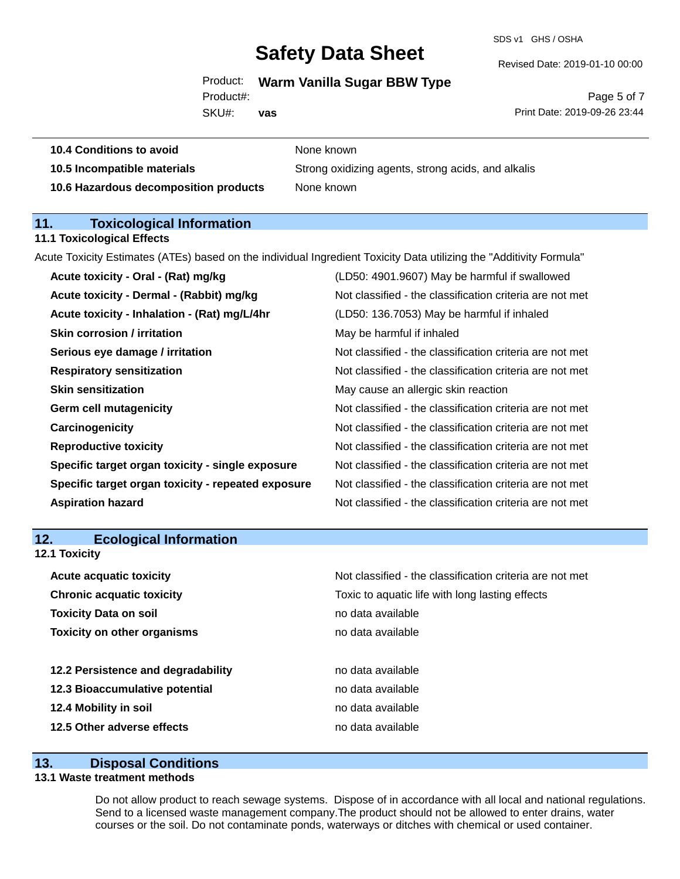SDS v1 GHS / OSHA

Revised Date: 2019-01-10 00:00

### Product: **Warm Vanilla Sugar BBW Type**

**10.5 Incompatible materials** Strong oxidizing agents, strong acids, and alkalis

SKU#: Product#:

**10.4 Conditions to avoid** None known

**10.6 Hazardous decomposition products** None known

**vas**

Page 5 of 7 Print Date: 2019-09-26 23:44

| <b>Toxicological Information</b><br>11.                                                                             |                                                          |
|---------------------------------------------------------------------------------------------------------------------|----------------------------------------------------------|
| <b>11.1 Toxicological Effects</b>                                                                                   |                                                          |
| Acute Toxicity Estimates (ATEs) based on the individual Ingredient Toxicity Data utilizing the "Additivity Formula" |                                                          |
| Acute toxicity - Oral - (Rat) mg/kg                                                                                 | (LD50: 4901.9607) May be harmful if swallowed            |
| Acute toxicity - Dermal - (Rabbit) mg/kg                                                                            | Not classified - the classification criteria are not met |
| Acute toxicity - Inhalation - (Rat) mg/L/4hr                                                                        | (LD50: 136.7053) May be harmful if inhaled               |
| <b>Skin corrosion / irritation</b>                                                                                  | May be harmful if inhaled                                |
| Serious eye damage / irritation                                                                                     | Not classified - the classification criteria are not met |
| <b>Respiratory sensitization</b>                                                                                    | Not classified - the classification criteria are not met |
| <b>Skin sensitization</b>                                                                                           | May cause an allergic skin reaction                      |
| <b>Germ cell mutagenicity</b>                                                                                       | Not classified - the classification criteria are not met |
| Carcinogenicity                                                                                                     | Not classified - the classification criteria are not met |
| <b>Reproductive toxicity</b>                                                                                        | Not classified - the classification criteria are not met |
| Specific target organ toxicity - single exposure                                                                    | Not classified - the classification criteria are not met |
| Specific target organ toxicity - repeated exposure                                                                  | Not classified - the classification criteria are not met |
| <b>Aspiration hazard</b>                                                                                            | Not classified - the classification criteria are not met |

| 12.<br><b>Ecological Information</b> |  |
|--------------------------------------|--|
|--------------------------------------|--|

**12.1 Toxicity**

| <b>Acute acquatic toxicity</b>     | Not classified - the classification criteria are not met |
|------------------------------------|----------------------------------------------------------|
| <b>Chronic acquatic toxicity</b>   | Toxic to aquatic life with long lasting effects          |
| <b>Toxicity Data on soil</b>       | no data available                                        |
| <b>Toxicity on other organisms</b> | no data available                                        |
|                                    |                                                          |
| 12.2 Persistence and degradability | no data available                                        |
| 12.3 Bioaccumulative potential     | no data available                                        |
| 12.4 Mobility in soil              | no data available                                        |
| 12.5 Other adverse effects         | no data available                                        |

#### **13. Disposal Conditions**

#### **13.1 Waste treatment methods**

Do not allow product to reach sewage systems. Dispose of in accordance with all local and national regulations. Send to a licensed waste management company.The product should not be allowed to enter drains, water courses or the soil. Do not contaminate ponds, waterways or ditches with chemical or used container.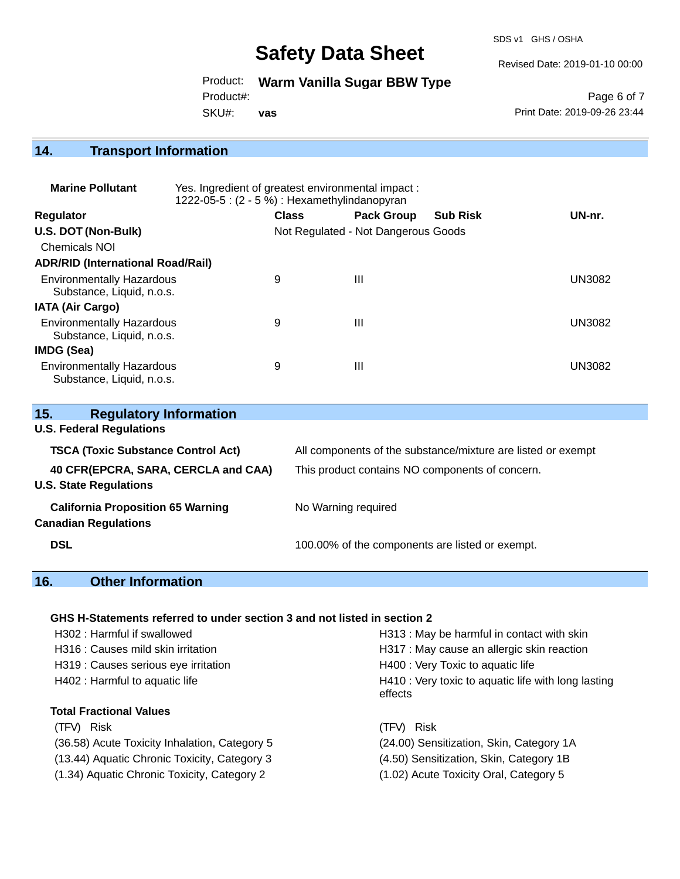SDS v1 GHS / OSHA

Revised Date: 2019-01-10 00:00

Product: **Warm Vanilla Sugar BBW Type**

Product#:

SKU#: **vas**

Page 6 of 7 Print Date: 2019-09-26 23:44

# **14. Transport Information**

| <b>Marine Pollutant</b>                                       | Yes. Ingredient of greatest environmental impact:<br>1222-05-5: (2 - 5 %) : Hexamethylindanopyran |              |                                     |                 |        |
|---------------------------------------------------------------|---------------------------------------------------------------------------------------------------|--------------|-------------------------------------|-----------------|--------|
| <b>Regulator</b>                                              |                                                                                                   | <b>Class</b> | <b>Pack Group</b>                   | <b>Sub Risk</b> | UN-nr. |
| U.S. DOT (Non-Bulk)                                           |                                                                                                   |              | Not Regulated - Not Dangerous Goods |                 |        |
| Chemicals NOI                                                 |                                                                                                   |              |                                     |                 |        |
| <b>ADR/RID (International Road/Rail)</b>                      |                                                                                                   |              |                                     |                 |        |
| <b>Environmentally Hazardous</b><br>Substance, Liquid, n.o.s. |                                                                                                   | 9            | Ш                                   |                 | UN3082 |
| <b>IATA (Air Cargo)</b>                                       |                                                                                                   |              |                                     |                 |        |
| <b>Environmentally Hazardous</b><br>Substance, Liquid, n.o.s. |                                                                                                   | 9            | Ш                                   |                 | UN3082 |
| IMDG (Sea)                                                    |                                                                                                   |              |                                     |                 |        |
| <b>Environmentally Hazardous</b><br>Substance, Liquid, n.o.s. |                                                                                                   | 9            | Ш                                   |                 | UN3082 |

| 15.<br><b>Regulatory Information</b>      |                                                              |
|-------------------------------------------|--------------------------------------------------------------|
| <b>U.S. Federal Regulations</b>           |                                                              |
| <b>TSCA (Toxic Substance Control Act)</b> | All components of the substance/mixture are listed or exempt |
| 40 CFR(EPCRA, SARA, CERCLA and CAA)       | This product contains NO components of concern.              |
| <b>U.S. State Regulations</b>             |                                                              |
| <b>California Proposition 65 Warning</b>  | No Warning required                                          |
| <b>Canadian Regulations</b>               |                                                              |
| <b>DSL</b>                                | 100.00% of the components are listed or exempt.              |

## **16. Other Information**

### **GHS H-Statements referred to under section 3 and not listed in section 2**

| H302: Harmful if swallowed                    | H313 : May be harmful in contact with skin                     |
|-----------------------------------------------|----------------------------------------------------------------|
| H316 : Causes mild skin irritation            | H317 : May cause an allergic skin reaction                     |
| H319 : Causes serious eye irritation          | H400 : Very Toxic to aquatic life                              |
| H402 : Harmful to aquatic life                | H410 : Very toxic to aquatic life with long lasting<br>effects |
| <b>Total Fractional Values</b>                |                                                                |
| (TFV) Risk                                    | (TFV) Risk                                                     |
| (36.58) Acute Toxicity Inhalation, Category 5 | (24.00) Sensitization, Skin, Category 1A                       |
| (13.44) Aquatic Chronic Toxicity, Category 3  | (4.50) Sensitization, Skin, Category 1B                        |
| (1.34) Aquatic Chronic Toxicity, Category 2   | (1.02) Acute Toxicity Oral, Category 5                         |